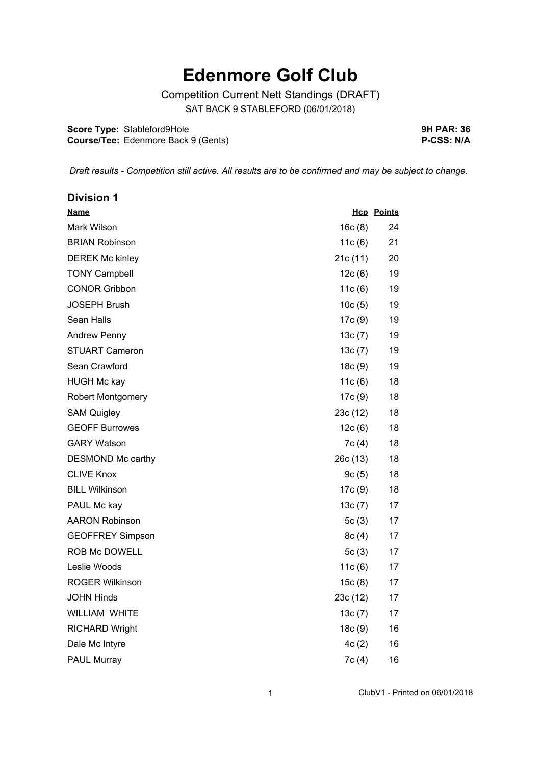## **Edenmore Golf Club**

Competition Current Nett Standings (DRAFT) SAT BACK 9 STABLEFORD (06/01/2018)

**Score Type: Course/Tee:** Stableford9Hole Edenmore Back 9 (Gents) **9H PAR: 36 P-CSS: N/A**

*Draft results - Competition still active. All results are to be confirmed and may be subject to change.* 

| <b>Division 1</b>        |           |                   |
|--------------------------|-----------|-------------------|
| <b>Name</b>              |           | <b>Hcp</b> Points |
| Mark Wilson              | 16c(8)    | 24                |
| <b>BRIAN Robinson</b>    | 11 $c(6)$ | 21                |
| <b>DEREK Mc kinley</b>   | 21c(11)   | 20                |
| <b>TONY Campbell</b>     | 12c(6)    | 19                |
| <b>CONOR Gribbon</b>     | 11c(6)    | 19                |
| <b>JOSEPH Brush</b>      | 10c(5)    | 19                |
| Sean Halls               | 17c(9)    | 19                |
| <b>Andrew Penny</b>      | 13c(7)    | 19                |
| <b>STUART Cameron</b>    | 13c(7)    | 19                |
| Sean Crawford            | 18c(9)    | 19                |
| <b>HUGH Mc kay</b>       | 11c(6)    | 18                |
| <b>Robert Montgomery</b> | 17c(9)    | 18                |
| <b>SAM Quigley</b>       | 23c(12)   | 18                |
| <b>GEOFF Burrowes</b>    | 12c(6)    | 18                |
| <b>GARY Watson</b>       | 7c (4)    | 18                |
| DESMOND Mc carthy        | 26c(13)   | 18                |
| <b>CLIVE Knox</b>        | 9c(5)     | 18                |
| <b>BILL Wilkinson</b>    | 17c (9)   | 18                |
| PAUL Mc kay              | 13c(7)    | 17                |
| <b>AARON Robinson</b>    | 5 $c(3)$  | 17                |
| <b>GEOFFREY Simpson</b>  | 8c(4)     | 17                |
| <b>ROB Mc DOWELL</b>     | 5c(3)     | 17                |
| Leslie Woods             | 11 $c(6)$ | 17                |
| <b>ROGER Wilkinson</b>   | 15c(8)    | 17                |
| <b>JOHN Hinds</b>        | 23c (12)  | 17                |
| <b>WILLIAM WHITE</b>     | 13c(7)    | 17                |
| <b>RICHARD Wright</b>    | 18c(9)    | 16                |
| Dale Mc Intyre           | 4c(2)     | 16                |
| <b>PAUL Murray</b>       | 7c(4)     | 16                |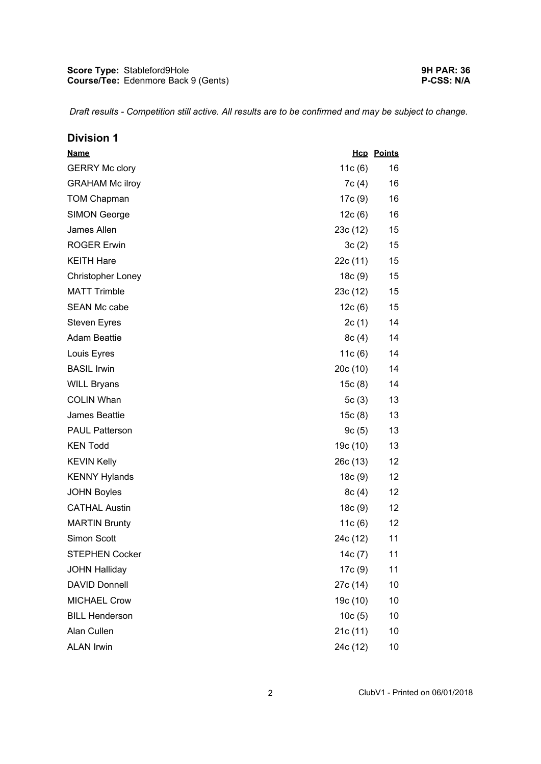*Draft results - Competition still active. All results are to be confirmed and may be subject to change.* 

| <b>Division 1</b>        |           |                   |
|--------------------------|-----------|-------------------|
| <b>Name</b>              |           | <b>Hcp</b> Points |
| <b>GERRY Mc clory</b>    | 11c(6)    | 16                |
| <b>GRAHAM Mc ilroy</b>   | 7c(4)     | 16                |
| <b>TOM Chapman</b>       | 17c (9)   | 16                |
| <b>SIMON George</b>      | 12c(6)    | 16                |
| James Allen              | 23c(12)   | 15                |
| <b>ROGER Erwin</b>       | 3c(2)     | 15                |
| <b>KEITH Hare</b>        | 22c(11)   | 15                |
| <b>Christopher Loney</b> | 18c(9)    | 15                |
| <b>MATT Trimble</b>      | 23c(12)   | 15                |
| <b>SEAN Mc cabe</b>      | 12c(6)    | 15                |
| <b>Steven Eyres</b>      | 2c(1)     | 14                |
| <b>Adam Beattie</b>      | 8c(4)     | 14                |
| Louis Eyres              | 11c(6)    | 14                |
| <b>BASIL Irwin</b>       | 20c(10)   | 14                |
| <b>WILL Bryans</b>       | 15c(8)    | 14                |
| <b>COLIN Whan</b>        | 5 $c(3)$  | 13                |
| James Beattie            | 15c(8)    | 13                |
| <b>PAUL Patterson</b>    | 9c(5)     | 13                |
| <b>KEN Todd</b>          | 19c (10)  | 13                |
| <b>KEVIN Kelly</b>       | 26c (13)  | 12                |
| <b>KENNY Hylands</b>     | 18c (9)   | 12                |
| <b>JOHN Boyles</b>       | 8c(4)     | 12                |
| <b>CATHAL Austin</b>     | 18c (9)   | 12                |
| <b>MARTIN Brunty</b>     | 11 $c(6)$ | 12                |
| <b>Simon Scott</b>       | 24c (12)  | 11                |
| <b>STEPHEN Cocker</b>    | 14c(7)    | 11                |
| <b>JOHN Halliday</b>     | 17c(9)    | 11                |
| <b>DAVID Donnell</b>     | 27c (14)  | 10                |
| <b>MICHAEL Crow</b>      | 19c (10)  | 10                |
| <b>BILL Henderson</b>    | 10c(5)    | 10                |
| Alan Cullen              | 21c (11)  | 10                |
| <b>ALAN Irwin</b>        | 24c (12)  | 10                |